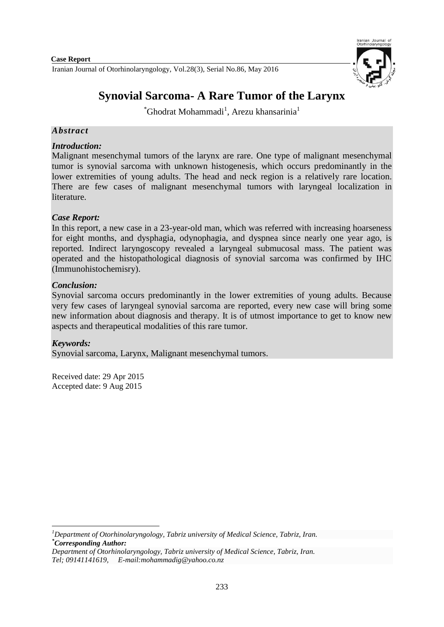

# **Synovial Sarcoma- A Rare Tumor of the Larynx**

 $\mathrm{``Ghodrat\, Mohammadi}^{1},$  Arezu khansarinia $^{1}$ 

# *Abstract*

# *Introduction:*

Malignant mesenchymal tumors of the larynx are rare. One type of malignant mesenchymal tumor is synovial sarcoma with unknown histogenesis, which occurs predominantly in the lower extremities of young adults. The head and neck region is a relatively rare location. There are few cases of malignant mesenchymal tumors with laryngeal localization in literature.

# *Case Report:*

In this report, a new case in a 23-year-old man, which was referred with increasing hoarseness for eight months, and dysphagia, odynophagia, and dyspnea since nearly one year ago, is reported. Indirect laryngoscopy revealed a laryngeal submucosal mass. The patient was operated and the histopathological diagnosis of synovial sarcoma was confirmed by IHC (Immunohistochemisry).

## *Conclusion:*

Synovial sarcoma occurs predominantly in the lower extremities of young adults. Because very few cases of laryngeal synovial sarcoma are reported, every new case will bring some new information about diagnosis and therapy. It is of utmost importance to get to know new aspects and therapeutical modalities of this rare tumor.

## *Keywords:*

Synovial sarcoma, Larynx, Malignant mesenchymal tumors.

Received date: 29 Apr 2015 Accepted date: 9 Aug 2015

**<sup>.</sup>** *<sup>1</sup>Department of Otorhinolaryngology, Tabriz university of Medical Science, Tabriz, Iran. \*Corresponding Author:*

*Department of Otorhinolaryngology, Tabriz university of Medical Science, Tabriz, Iran. Tel; 09141141619, E-mail:mohammadig@yahoo.co.nz*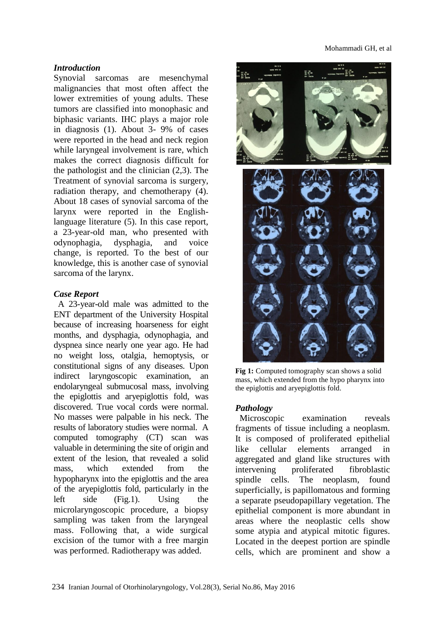#### *Introduction*

Synovial sarcomas are mesenchymal malignancies that most often affect the lower extremities of young adults. These tumors are classified into monophasic and biphasic variants. IHC plays a major role in diagnosis (1). About 3- 9% of cases were reported in the head and neck region while laryngeal involvement is rare, which makes the correct diagnosis difficult for the pathologist and the clinician (2,3). The Treatment of synovial sarcoma is surgery, radiation therapy, and chemotherapy (4). About 18 cases of synovial sarcoma of the larynx were reported in the Englishlanguage literature (5). In this case report, a 23-year-old man, who presented with odynophagia, dysphagia, and voice change, is reported. To the best of our knowledge, this is another case of synovial sarcoma of the larynx.

## *Case Report*

A 23-year-old male was admitted to the ENT department of the University Hospital because of increasing hoarseness for eight months, and dysphagia, odynophagia, and dyspnea since nearly one year ago. He had no weight loss, otalgia, hemoptysis, or constitutional signs of any diseases. Upon indirect laryngoscopic examination, an endolaryngeal submucosal mass, involving the epiglottis and aryepiglottis fold, was discovered. True vocal cords were normal. No masses were palpable in his neck. The results of laboratory studies were normal. A computed tomography (CT) scan was valuable in determining the site of origin and extent of the lesion, that revealed a solid mass, which extended from the hypopharynx into the epiglottis and the area of the aryepiglottis fold, particularly in the left side (Fig.1). Using the microlaryngoscopic procedure, a biopsy sampling was taken from the laryngeal mass. Following that, a wide surgical excision of the tumor with a free margin was performed. Radiotherapy was added.



**Fig 1:** Computed tomography scan shows a solid mass, which extended from the hypo pharynx into the epiglottis and aryepiglottis fold.

## *Pathology*

Microscopic examination reveals fragments of tissue including a neoplasm. It is composed of proliferated epithelial like cellular elements arranged in aggregated and gland like structures with intervening proliferated fibroblastic spindle cells. The neoplasm, found superficially, is papillomatous and forming a separate pseudopapillary vegetation. The epithelial component is more abundant in areas where the neoplastic cells show some atypia and atypical mitotic figures. Located in the deepest portion are spindle cells, which are prominent and show a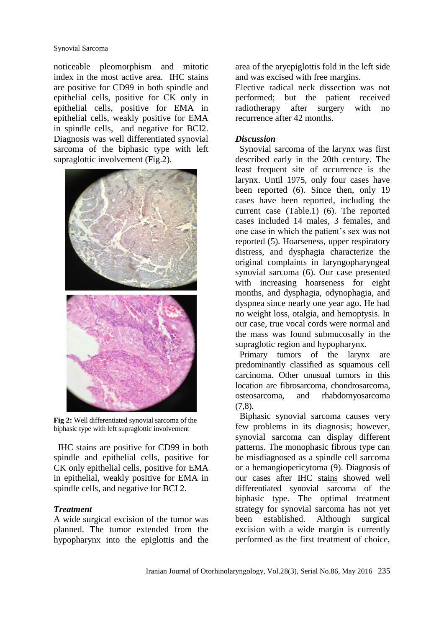Synovial Sarcoma

noticeable pleomorphism and mitotic index in the most active area. IHC stains are positive for CD99 in both spindle and epithelial cells, positive for CK only in epithelial cells, positive for EMA in epithelial cells, weakly positive for EMA in spindle cells, and negative for BCI2. Diagnosis was well differentiated synovial sarcoma of the biphasic type with left supraglottic involvement (Fig.2).



**Fig 2:** Well differentiated synovial sarcoma of the biphasic type with left supraglottic involvement

IHC stains are positive for CD99 in both spindle and epithelial cells, positive for CK only epithelial cells, positive for EMA in epithelial, weakly positive for EMA in spindle cells, and negative for BCI 2.

# *Treatment*

A wide surgical excision of the tumor was planned. The tumor extended from the hypopharynx into the epiglottis and the area of the aryepiglottis fold in the left side and was excised with free margins.

Elective radical neck dissection was not performed; but the patient received radiotherapy after surgery with no recurrence after 42 months.

# *Discussion*

Synovial sarcoma of the larynx was first described early in the 20th century. The least frequent site of occurrence is the larynx. Until 1975, only four cases have been reported (6). Since then, only 19 cases have been reported, including the current case (Table.1) (6). The reported cases included 14 males, 3 females, and one case in which the patient's sex was not reported (5). Hoarseness, upper respiratory distress, and dysphagia characterize the original complaints in laryngopharyngeal synovial sarcoma (6). Our case presented with increasing hoarseness for eight months, and dysphagia, odynophagia, and dyspnea since nearly one year ago. He had no weight loss, otalgia, and hemoptysis. In our case, true vocal cords were normal and the mass was found submucosally in the supraglotic region and hypopharynx.

Primary tumors of the larynx are predominantly classified as squamous cell carcinoma. Other unusual tumors in this location are fibrosarcoma, chondrosarcoma, osteosarcoma, and rhabdomyosarcoma (7,8).

Biphasic synovial sarcoma causes very few problems in its diagnosis; however, synovial sarcoma can display different patterns. The monophasic fibrous type can be misdiagnosed as a spindle cell sarcoma or a hemangiopericytoma (9). Diagnosis of our cases after IHC stains showed well differentiated synovial sarcoma of the biphasic type. The optimal treatment strategy for synovial sarcoma has not yet been established. Although surgical excision with a wide margin is currently performed as the first treatment of choice,